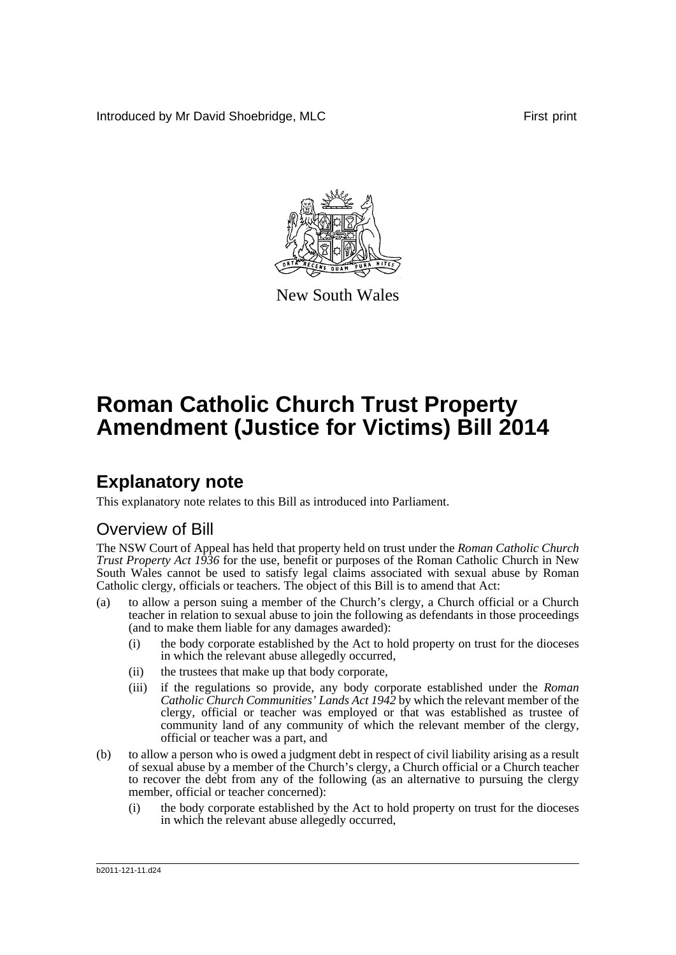Introduced by Mr David Shoebridge, MLC First print



New South Wales

# **Roman Catholic Church Trust Property Amendment (Justice for Victims) Bill 2014**

## **Explanatory note**

This explanatory note relates to this Bill as introduced into Parliament.

## Overview of Bill

The NSW Court of Appeal has held that property held on trust under the *Roman Catholic Church Trust Property Act 1936* for the use, benefit or purposes of the Roman Catholic Church in New South Wales cannot be used to satisfy legal claims associated with sexual abuse by Roman Catholic clergy, officials or teachers. The object of this Bill is to amend that Act:

- (a) to allow a person suing a member of the Church's clergy, a Church official or a Church teacher in relation to sexual abuse to join the following as defendants in those proceedings (and to make them liable for any damages awarded):
	- (i) the body corporate established by the Act to hold property on trust for the dioceses in which the relevant abuse allegedly occurred,
	- (ii) the trustees that make up that body corporate,
	- (iii) if the regulations so provide, any body corporate established under the *Roman Catholic Church Communities' Lands Act 1942* by which the relevant member of the clergy, official or teacher was employed or that was established as trustee of community land of any community of which the relevant member of the clergy, official or teacher was a part, and
- (b) to allow a person who is owed a judgment debt in respect of civil liability arising as a result of sexual abuse by a member of the Church's clergy, a Church official or a Church teacher to recover the debt from any of the following (as an alternative to pursuing the clergy member, official or teacher concerned):
	- (i) the body corporate established by the Act to hold property on trust for the dioceses in which the relevant abuse allegedly occurred,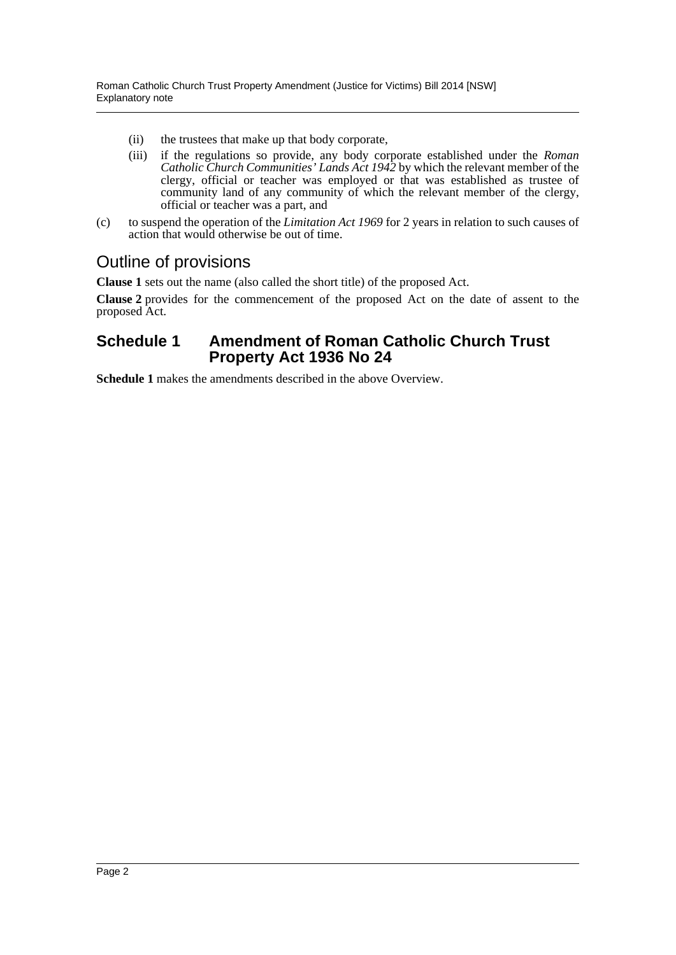- (ii) the trustees that make up that body corporate,
- (iii) if the regulations so provide, any body corporate established under the *Roman Catholic Church Communities' Lands Act 1942* by which the relevant member of the clergy, official or teacher was employed or that was established as trustee of community land of any community of which the relevant member of the clergy, official or teacher was a part, and
- (c) to suspend the operation of the *Limitation Act 1969* for 2 years in relation to such causes of action that would otherwise be out of time.

### Outline of provisions

**Clause 1** sets out the name (also called the short title) of the proposed Act.

**Clause 2** provides for the commencement of the proposed Act on the date of assent to the proposed Act.

### **Schedule 1 Amendment of Roman Catholic Church Trust Property Act 1936 No 24**

**Schedule 1** makes the amendments described in the above Overview.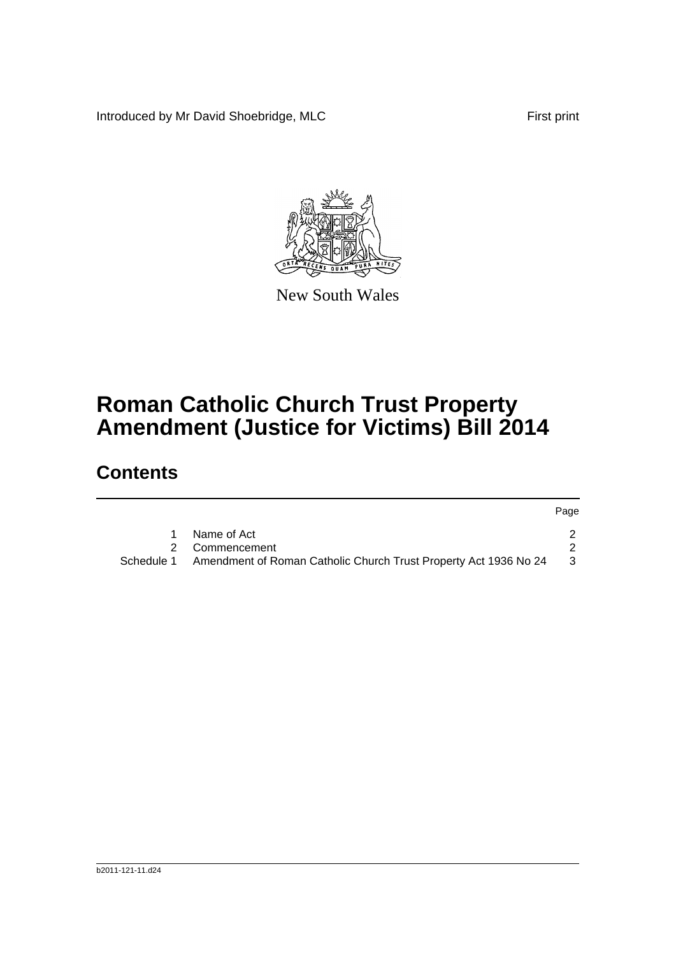Introduced by Mr David Shoebridge, MLC First print



New South Wales

# **Roman Catholic Church Trust Property Amendment (Justice for Victims) Bill 2014**

## **Contents**

|            |                                                                  | Page |
|------------|------------------------------------------------------------------|------|
|            | Name of Act                                                      |      |
|            | 2 Commencement                                                   |      |
| Schedule 1 | Amendment of Roman Catholic Church Trust Property Act 1936 No 24 | - 3  |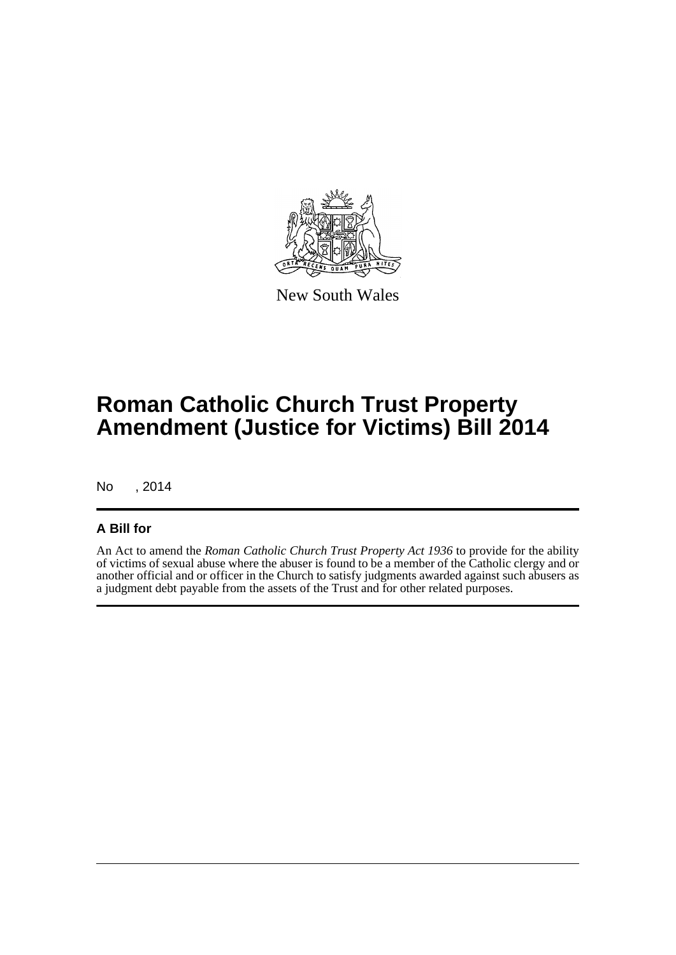

New South Wales

## **Roman Catholic Church Trust Property Amendment (Justice for Victims) Bill 2014**

No , 2014

### **A Bill for**

An Act to amend the *Roman Catholic Church Trust Property Act 1936* to provide for the ability of victims of sexual abuse where the abuser is found to be a member of the Catholic clergy and or another official and or officer in the Church to satisfy judgments awarded against such abusers as a judgment debt payable from the assets of the Trust and for other related purposes.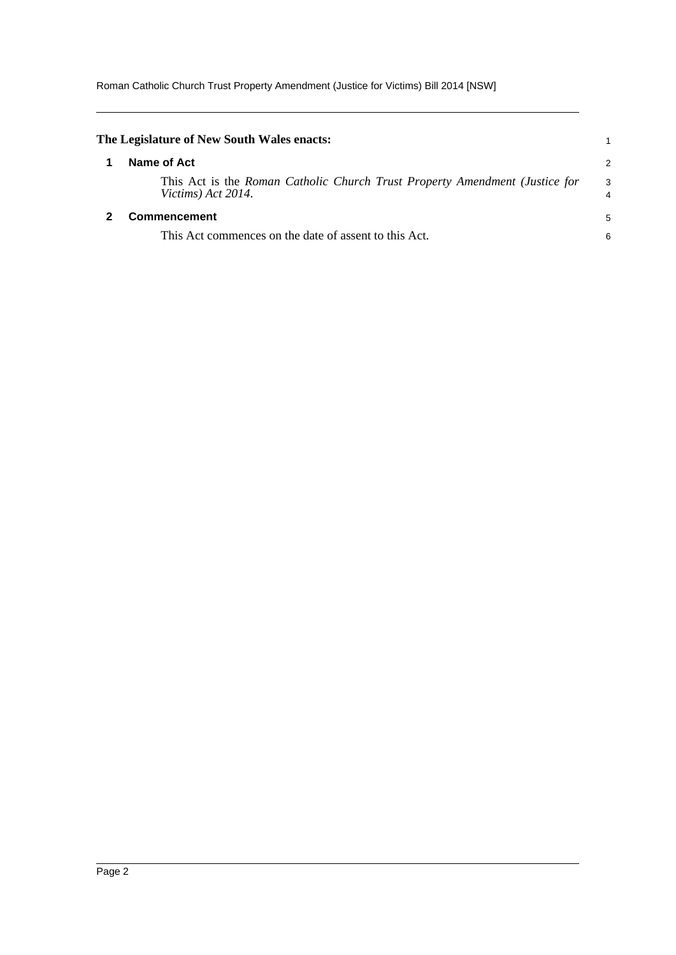Roman Catholic Church Trust Property Amendment (Justice for Victims) Bill 2014 [NSW]

<span id="page-4-1"></span><span id="page-4-0"></span>

| The Legislature of New South Wales enacts:                                                        |                     |
|---------------------------------------------------------------------------------------------------|---------------------|
| Name of Act                                                                                       | 2                   |
| This Act is the Roman Catholic Church Trust Property Amendment (Justice for<br>Victims) Act 2014. | 3<br>$\overline{4}$ |
| <b>Commencement</b>                                                                               | 5                   |
| This Act commences on the date of assent to this Act.                                             | 6                   |
|                                                                                                   |                     |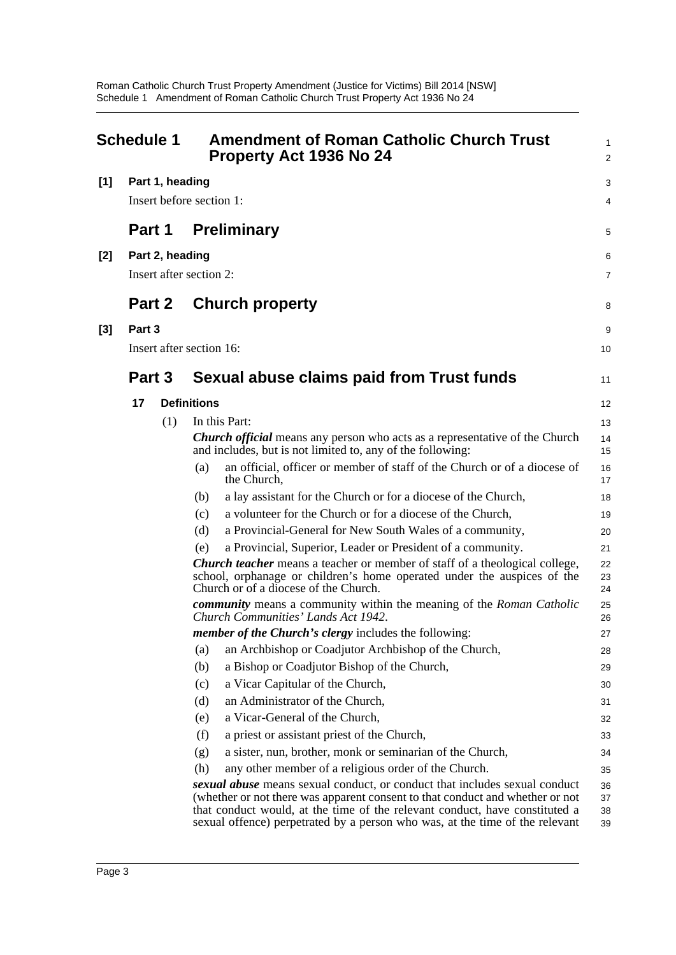<span id="page-5-0"></span>

| <b>Schedule 1</b> |                          | <b>Amendment of Roman Catholic Church Trust</b><br><b>Property Act 1936 No 24</b> |                    | 1<br>$\overline{a}$                                                                                                                                                                                                                                                                                                        |                      |
|-------------------|--------------------------|-----------------------------------------------------------------------------------|--------------------|----------------------------------------------------------------------------------------------------------------------------------------------------------------------------------------------------------------------------------------------------------------------------------------------------------------------------|----------------------|
| [1]               |                          | Part 1, heading                                                                   |                    |                                                                                                                                                                                                                                                                                                                            | 3                    |
|                   | Insert before section 1: |                                                                                   |                    | 4                                                                                                                                                                                                                                                                                                                          |                      |
|                   | Part 1                   |                                                                                   |                    | <b>Preliminary</b>                                                                                                                                                                                                                                                                                                         | 5                    |
| [2]               |                          | Part 2, heading                                                                   |                    |                                                                                                                                                                                                                                                                                                                            | 6                    |
|                   | Insert after section 2:  |                                                                                   |                    |                                                                                                                                                                                                                                                                                                                            |                      |
|                   | <b>Part 2</b>            |                                                                                   |                    | <b>Church property</b>                                                                                                                                                                                                                                                                                                     | 8                    |
| [3]               | Part 3                   |                                                                                   |                    |                                                                                                                                                                                                                                                                                                                            | 9                    |
|                   |                          | Insert after section 16:                                                          |                    |                                                                                                                                                                                                                                                                                                                            | 10                   |
|                   |                          |                                                                                   |                    |                                                                                                                                                                                                                                                                                                                            |                      |
|                   | Part 3                   |                                                                                   |                    | Sexual abuse claims paid from Trust funds                                                                                                                                                                                                                                                                                  | 11                   |
|                   | 17                       |                                                                                   | <b>Definitions</b> |                                                                                                                                                                                                                                                                                                                            | 12                   |
|                   |                          | (1)                                                                               |                    | In this Part:                                                                                                                                                                                                                                                                                                              | 13                   |
|                   |                          |                                                                                   |                    | <b>Church official</b> means any person who acts as a representative of the Church<br>and includes, but is not limited to, any of the following:                                                                                                                                                                           | 14<br>15             |
|                   |                          |                                                                                   | (a)                | an official, officer or member of staff of the Church or of a diocese of<br>the Church,                                                                                                                                                                                                                                    | 16<br>17             |
|                   |                          |                                                                                   | (b)                | a lay assistant for the Church or for a diocese of the Church,                                                                                                                                                                                                                                                             | 18                   |
|                   |                          |                                                                                   | (c)                | a volunteer for the Church or for a diocese of the Church,                                                                                                                                                                                                                                                                 | 19                   |
|                   |                          |                                                                                   | (d)                | a Provincial-General for New South Wales of a community,                                                                                                                                                                                                                                                                   | 20                   |
|                   |                          |                                                                                   | (e)                | a Provincial, Superior, Leader or President of a community.                                                                                                                                                                                                                                                                | 21                   |
|                   |                          |                                                                                   |                    | <b>Church teacher</b> means a teacher or member of staff of a theological college,<br>school, orphanage or children's home operated under the auspices of the<br>Church or of a diocese of the Church.                                                                                                                     | 22<br>23<br>24       |
|                   |                          |                                                                                   |                    | <b><i>community</i></b> means a community within the meaning of the Roman Catholic<br>Church Communities' Lands Act 1942.                                                                                                                                                                                                  | 25<br>26             |
|                   |                          |                                                                                   |                    | <i>member of the Church's clergy includes the following:</i>                                                                                                                                                                                                                                                               | 27                   |
|                   |                          |                                                                                   | (a)                | an Archbishop or Coadjutor Archbishop of the Church,                                                                                                                                                                                                                                                                       | 28                   |
|                   |                          |                                                                                   | (b)                | a Bishop or Coadjutor Bishop of the Church,                                                                                                                                                                                                                                                                                | 29                   |
|                   |                          |                                                                                   | (c)                | a Vicar Capitular of the Church,                                                                                                                                                                                                                                                                                           | 30                   |
|                   |                          |                                                                                   | (d)                | an Administrator of the Church,                                                                                                                                                                                                                                                                                            | 31                   |
|                   |                          |                                                                                   | (e)                | a Vicar-General of the Church,                                                                                                                                                                                                                                                                                             | 32                   |
|                   |                          |                                                                                   | (f)                | a priest or assistant priest of the Church,                                                                                                                                                                                                                                                                                | 33                   |
|                   |                          |                                                                                   | (g)                | a sister, nun, brother, monk or seminarian of the Church,                                                                                                                                                                                                                                                                  | 34                   |
|                   |                          |                                                                                   | (h)                | any other member of a religious order of the Church.                                                                                                                                                                                                                                                                       | 35                   |
|                   |                          |                                                                                   |                    | sexual abuse means sexual conduct, or conduct that includes sexual conduct<br>(whether or not there was apparent consent to that conduct and whether or not<br>that conduct would, at the time of the relevant conduct, have constituted a<br>sexual offence) perpetrated by a person who was, at the time of the relevant | 36<br>37<br>38<br>39 |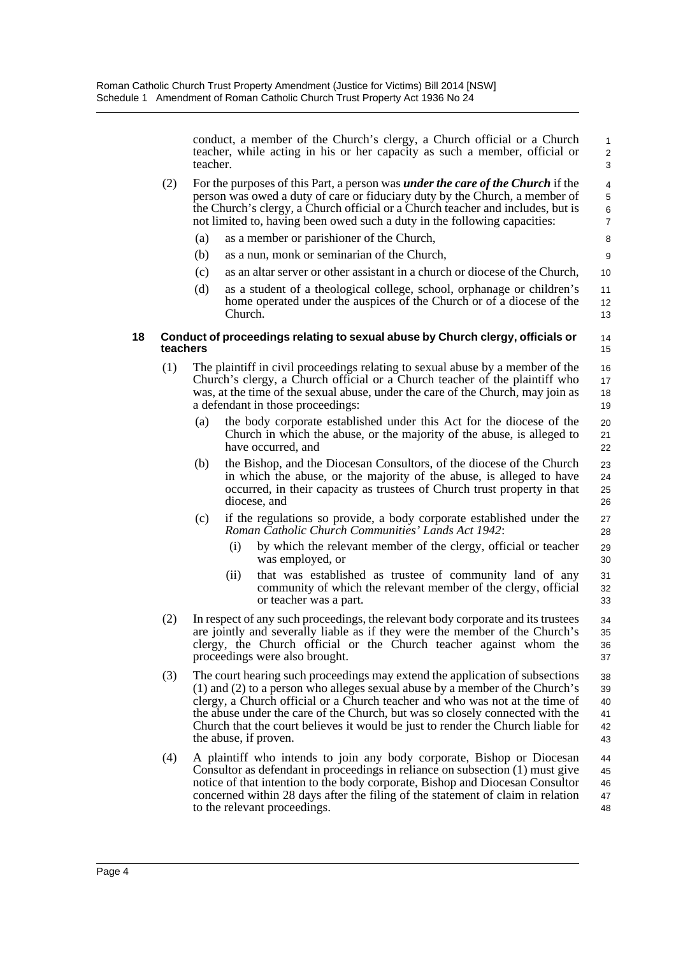conduct, a member of the Church's clergy, a Church official or a Church teacher, while acting in his or her capacity as such a member, official or teacher.

- (2) For the purposes of this Part, a person was *under the care of the Church* if the person was owed a duty of care or fiduciary duty by the Church, a member of the Church's clergy, a Church official or a Church teacher and includes, but is not limited to, having been owed such a duty in the following capacities:
	- (a) as a member or parishioner of the Church,
	- (b) as a nun, monk or seminarian of the Church,
	- (c) as an altar server or other assistant in a church or diocese of the Church,
	- (d) as a student of a theological college, school, orphanage or children's home operated under the auspices of the Church or of a diocese of the Church.

#### **18 Conduct of proceedings relating to sexual abuse by Church clergy, officials or teachers**

- (1) The plaintiff in civil proceedings relating to sexual abuse by a member of the Church's clergy, a Church official or a Church teacher of the plaintiff who was, at the time of the sexual abuse, under the care of the Church, may join as a defendant in those proceedings:
	- (a) the body corporate established under this Act for the diocese of the Church in which the abuse, or the majority of the abuse, is alleged to have occurred, and
	- (b) the Bishop, and the Diocesan Consultors, of the diocese of the Church in which the abuse, or the majority of the abuse, is alleged to have occurred, in their capacity as trustees of Church trust property in that diocese, and
	- (c) if the regulations so provide, a body corporate established under the *Roman Catholic Church Communities' Lands Act 1942*:
		- by which the relevant member of the clergy, official or teacher was employed, or
		- (ii) that was established as trustee of community land of any community of which the relevant member of the clergy, official or teacher was a part. 31 32 33
- (2) In respect of any such proceedings, the relevant body corporate and its trustees are jointly and severally liable as if they were the member of the Church's clergy, the Church official or the Church teacher against whom the proceedings were also brought. 34 35 36 37
- (3) The court hearing such proceedings may extend the application of subsections (1) and (2) to a person who alleges sexual abuse by a member of the Church's clergy, a Church official or a Church teacher and who was not at the time of the abuse under the care of the Church, but was so closely connected with the Church that the court believes it would be just to render the Church liable for the abuse, if proven. 38 39 40 41 42 43
- (4) A plaintiff who intends to join any body corporate, Bishop or Diocesan Consultor as defendant in proceedings in reliance on subsection (1) must give notice of that intention to the body corporate, Bishop and Diocesan Consultor concerned within 28 days after the filing of the statement of claim in relation to the relevant proceedings. 44 45 46 47 48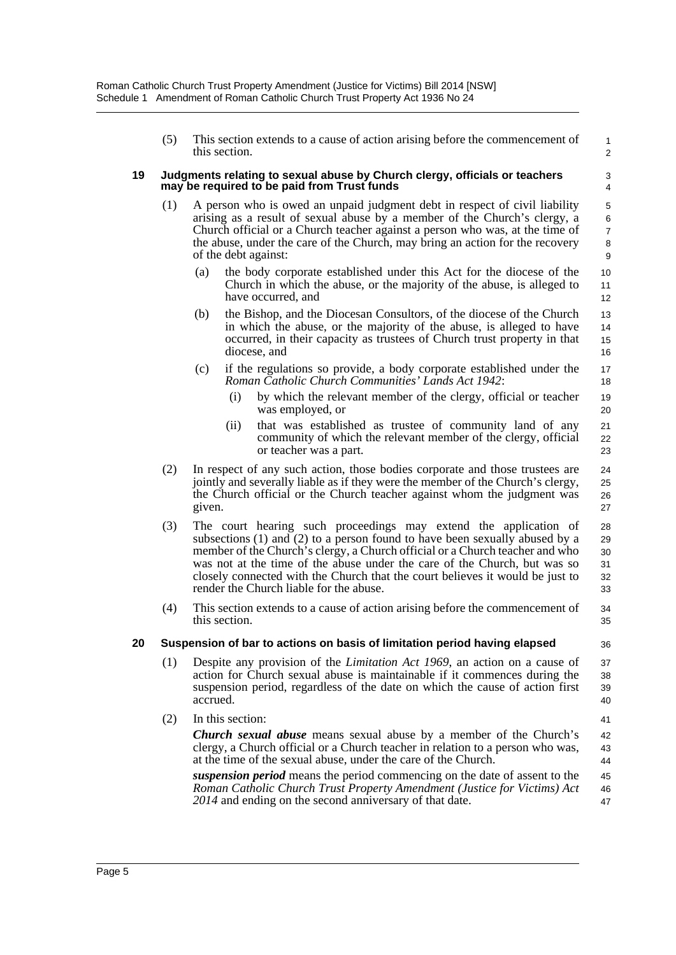(5) This section extends to a cause of action arising before the commencement of this section.

1 2

36

41

#### **19 Judgments relating to sexual abuse by Church clergy, officials or teachers may be required to be paid from Trust funds**

- (1) A person who is owed an unpaid judgment debt in respect of civil liability arising as a result of sexual abuse by a member of the Church's clergy, a Church official or a Church teacher against a person who was, at the time of the abuse, under the care of the Church, may bring an action for the recovery of the debt against:
	- (a) the body corporate established under this Act for the diocese of the Church in which the abuse, or the majority of the abuse, is alleged to have occurred, and
	- (b) the Bishop, and the Diocesan Consultors, of the diocese of the Church in which the abuse, or the majority of the abuse, is alleged to have occurred, in their capacity as trustees of Church trust property in that diocese, and
	- (c) if the regulations so provide, a body corporate established under the *Roman Catholic Church Communities' Lands Act 1942*:
		- (i) by which the relevant member of the clergy, official or teacher was employed, or
		- (ii) that was established as trustee of community land of any community of which the relevant member of the clergy, official or teacher was a part.
- (2) In respect of any such action, those bodies corporate and those trustees are jointly and severally liable as if they were the member of the Church's clergy, the Church official or the Church teacher against whom the judgment was given.
- (3) The court hearing such proceedings may extend the application of subsections  $(1)$  and  $(2)$  to a person found to have been sexually abused by a member of the Church's clergy, a Church official or a Church teacher and who was not at the time of the abuse under the care of the Church, but was so closely connected with the Church that the court believes it would be just to render the Church liable for the abuse. 28 29 30 31 32 33
- (4) This section extends to a cause of action arising before the commencement of this section. 34 35

#### **20 Suspension of bar to actions on basis of limitation period having elapsed**

- (1) Despite any provision of the *Limitation Act 1969*, an action on a cause of action for Church sexual abuse is maintainable if it commences during the suspension period, regardless of the date on which the cause of action first accrued. 37 38 39 40
- (2) In this section:

*Church sexual abuse* means sexual abuse by a member of the Church's clergy, a Church official or a Church teacher in relation to a person who was, at the time of the sexual abuse, under the care of the Church. 42 43 44

*suspension period* means the period commencing on the date of assent to the *Roman Catholic Church Trust Property Amendment (Justice for Victims) Act 2014* and ending on the second anniversary of that date. 45 46 47